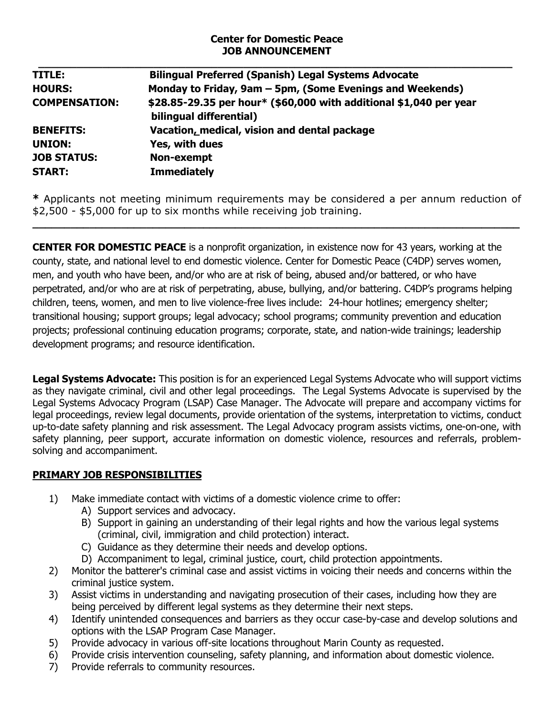### **Center for Domestic Peace JOB ANNOUNCEMENT**

| TITLE:               | <b>Bilingual Preferred (Spanish) Legal Systems Advocate</b>                                   |
|----------------------|-----------------------------------------------------------------------------------------------|
| <b>HOURS:</b>        | Monday to Friday, 9am - 5pm, (Some Evenings and Weekends)                                     |
| <b>COMPENSATION:</b> | \$28.85-29.35 per hour* (\$60,000 with additional \$1,040 per year<br>bilingual differential) |
| <b>BENEFITS:</b>     | Vacation, medical, vision and dental package                                                  |
| <b>UNION:</b>        | Yes, with dues                                                                                |
| <b>JOB STATUS:</b>   | Non-exempt                                                                                    |
| <b>START:</b>        | <b>Immediately</b>                                                                            |

**\*** Applicants not meeting minimum requirements may be considered a per annum reduction of \$2,500 - \$5,000 for up to six months while receiving job training.

**\_\_\_\_\_\_\_\_\_\_\_\_\_\_\_\_\_\_\_\_\_\_\_\_\_\_\_\_\_\_\_\_\_\_\_\_\_\_\_\_\_\_\_\_\_\_\_\_\_\_\_\_\_\_\_\_\_\_\_\_\_\_\_\_\_\_\_\_\_\_\_\_\_\_\_\_\_**

**CENTER FOR DOMESTIC PEACE** is a nonprofit organization, in existence now for 43 years, working at the county, state, and national level to end domestic violence. Center for Domestic Peace (C4DP) serves women, men, and youth who have been, and/or who are at risk of being, abused and/or battered, or who have perpetrated, and/or who are at risk of perpetrating, abuse, bullying, and/or battering. C4DP's programs helping children, teens, women, and men to live violence-free lives include: 24-hour hotlines; emergency shelter; transitional housing; support groups; legal advocacy; school programs; community prevention and education projects; professional continuing education programs; corporate, state, and nation-wide trainings; leadership development programs; and resource identification.

**Legal Systems Advocate:** This position is for an experienced Legal Systems Advocate who will support victims as they navigate criminal, civil and other legal proceedings. The Legal Systems Advocate is supervised by the Legal Systems Advocacy Program (LSAP) Case Manager. The Advocate will prepare and accompany victims for legal proceedings, review legal documents, provide orientation of the systems, interpretation to victims, conduct up-to-date safety planning and risk assessment. The Legal Advocacy program assists victims, one-on-one, with safety planning, peer support, accurate information on domestic violence, resources and referrals, problemsolving and accompaniment.

## **PRIMARY JOB RESPONSIBILITIES**

- 1) Make immediate contact with victims of a domestic violence crime to offer:
	- A) Support services and advocacy.
	- B) Support in gaining an understanding of their legal rights and how the various legal systems (criminal, civil, immigration and child protection) interact.
	- C) Guidance as they determine their needs and develop options.
	- D) Accompaniment to legal, criminal justice, court, child protection appointments.
- 2) Monitor the batterer's criminal case and assist victims in voicing their needs and concerns within the criminal justice system.
- 3) Assist victims in understanding and navigating prosecution of their cases, including how they are being perceived by different legal systems as they determine their next steps.
- 4) Identify unintended consequences and barriers as they occur case-by-case and develop solutions and options with the LSAP Program Case Manager.
- 5) Provide advocacy in various off-site locations throughout Marin County as requested.
- 6) Provide crisis intervention counseling, safety planning, and information about domestic violence.
- 7) Provide referrals to community resources.